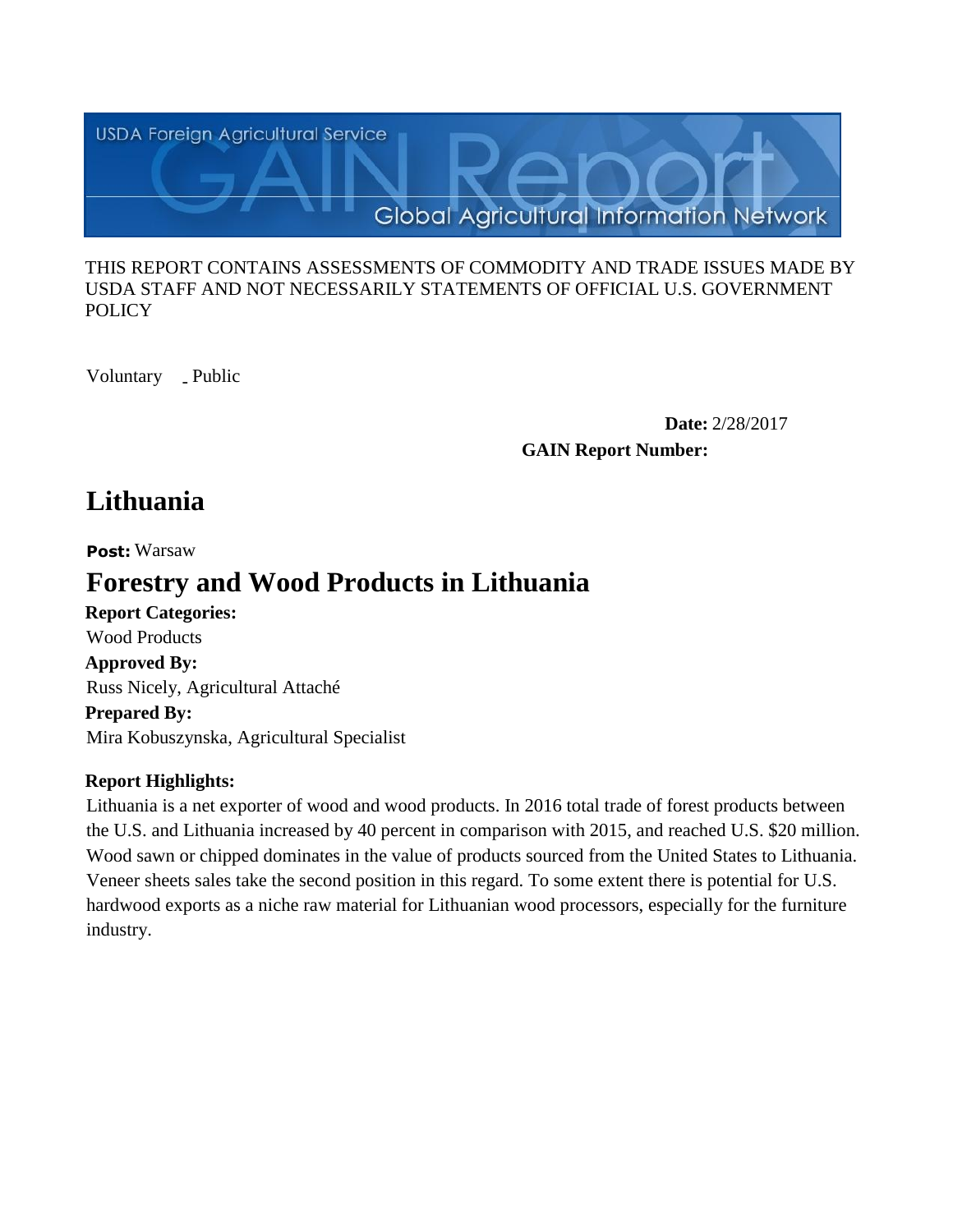

#### THIS REPORT CONTAINS ASSESSMENTS OF COMMODITY AND TRADE ISSUES MADE BY USDA STAFF AND NOT NECESSARILY STATEMENTS OF OFFICIAL U.S. GOVERNMENT **POLICY**

Voluntary \_ Public

**Date:** 2/28/2017 **GAIN Report Number:**

# **Lithuania**

**Post:** Warsaw

# **Forestry and Wood Products in Lithuania**

**Report Categories: Approved By: Prepared By:**  Mira Kobuszynska, Agricultural Specialist Russ Nicely, Agricultural Attaché Wood Products

# **Report Highlights:**

Lithuania is a net exporter of wood and wood products. In 2016 total trade of forest products between the U.S. and Lithuania increased by 40 percent in comparison with 2015, and reached U.S. \$20 million. Wood sawn or chipped dominates in the value of products sourced from the United States to Lithuania. Veneer sheets sales take the second position in this regard. To some extent there is potential for U.S. hardwood exports as a niche raw material for Lithuanian wood processors, especially for the furniture industry.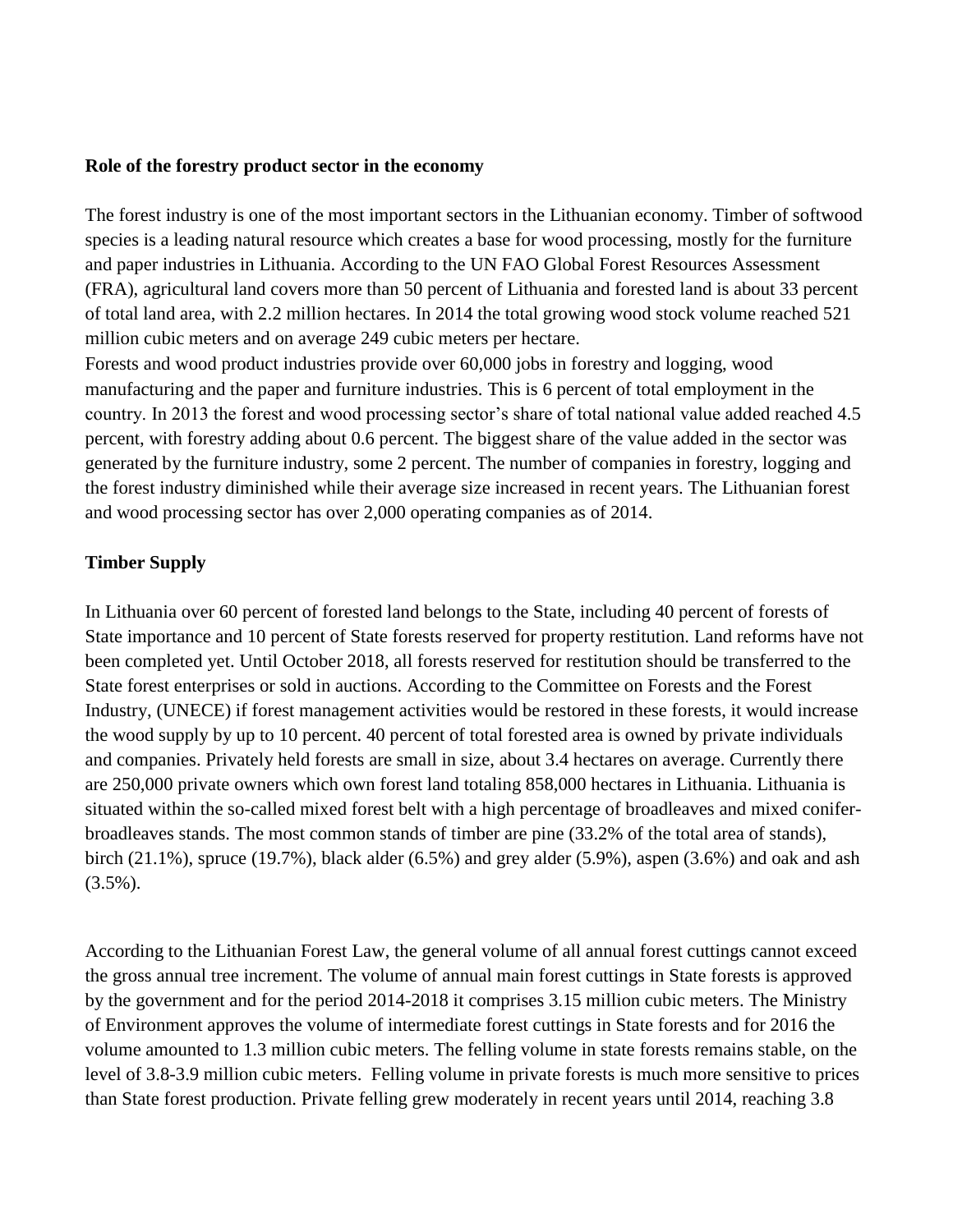#### **Role of the forestry product sector in the economy**

The forest industry is one of the most important sectors in the Lithuanian economy. Timber of softwood species is a leading natural resource which creates a base for wood processing, mostly for the furniture and paper industries in Lithuania. According to the UN FAO Global Forest Resources Assessment (FRA), agricultural land covers more than 50 percent of Lithuania and forested land is about 33 percent of total land area, with 2.2 million hectares. In 2014 the total growing wood stock volume reached 521 million cubic meters and on average 249 cubic meters per hectare.

Forests and wood product industries provide over 60,000 jobs in forestry and logging, wood manufacturing and the paper and furniture industries. This is 6 percent of total employment in the country. In 2013 the forest and wood processing sector's share of total national value added reached 4.5 percent, with forestry adding about 0.6 percent. The biggest share of the value added in the sector was generated by the furniture industry, some 2 percent. The number of companies in forestry, logging and the forest industry diminished while their average size increased in recent years. The Lithuanian forest and wood processing sector has over 2,000 operating companies as of 2014.

### **Timber Supply**

In Lithuania over 60 percent of forested land belongs to the State, including 40 percent of forests of State importance and 10 percent of State forests reserved for property restitution. Land reforms have not been completed yet. Until October 2018, all forests reserved for restitution should be transferred to the State forest enterprises or sold in auctions. According to the Committee on Forests and the Forest Industry, (UNECE) if forest management activities would be restored in these forests, it would increase the wood supply by up to 10 percent. 40 percent of total forested area is owned by private individuals and companies. Privately held forests are small in size, about 3.4 hectares on average. Currently there are 250,000 private owners which own forest land totaling 858,000 hectares in Lithuania. Lithuania is situated within the so-called mixed forest belt with a high percentage of broadleaves and mixed coniferbroadleaves stands. The most common stands of timber are pine (33.2% of the total area of stands), birch (21.1%), spruce (19.7%), black alder (6.5%) and grey alder (5.9%), aspen (3.6%) and oak and ash  $(3.5\%)$ .

According to the Lithuanian Forest Law, the general volume of all annual forest cuttings cannot exceed the gross annual tree increment. The volume of annual main forest cuttings in State forests is approved by the government and for the period 2014-2018 it comprises 3.15 million cubic meters. The Ministry of Environment approves the volume of intermediate forest cuttings in State forests and for 2016 the volume amounted to 1.3 million cubic meters. The felling volume in state forests remains stable, on the level of 3.8-3.9 million cubic meters. Felling volume in private forests is much more sensitive to prices than State forest production. Private felling grew moderately in recent years until 2014, reaching 3.8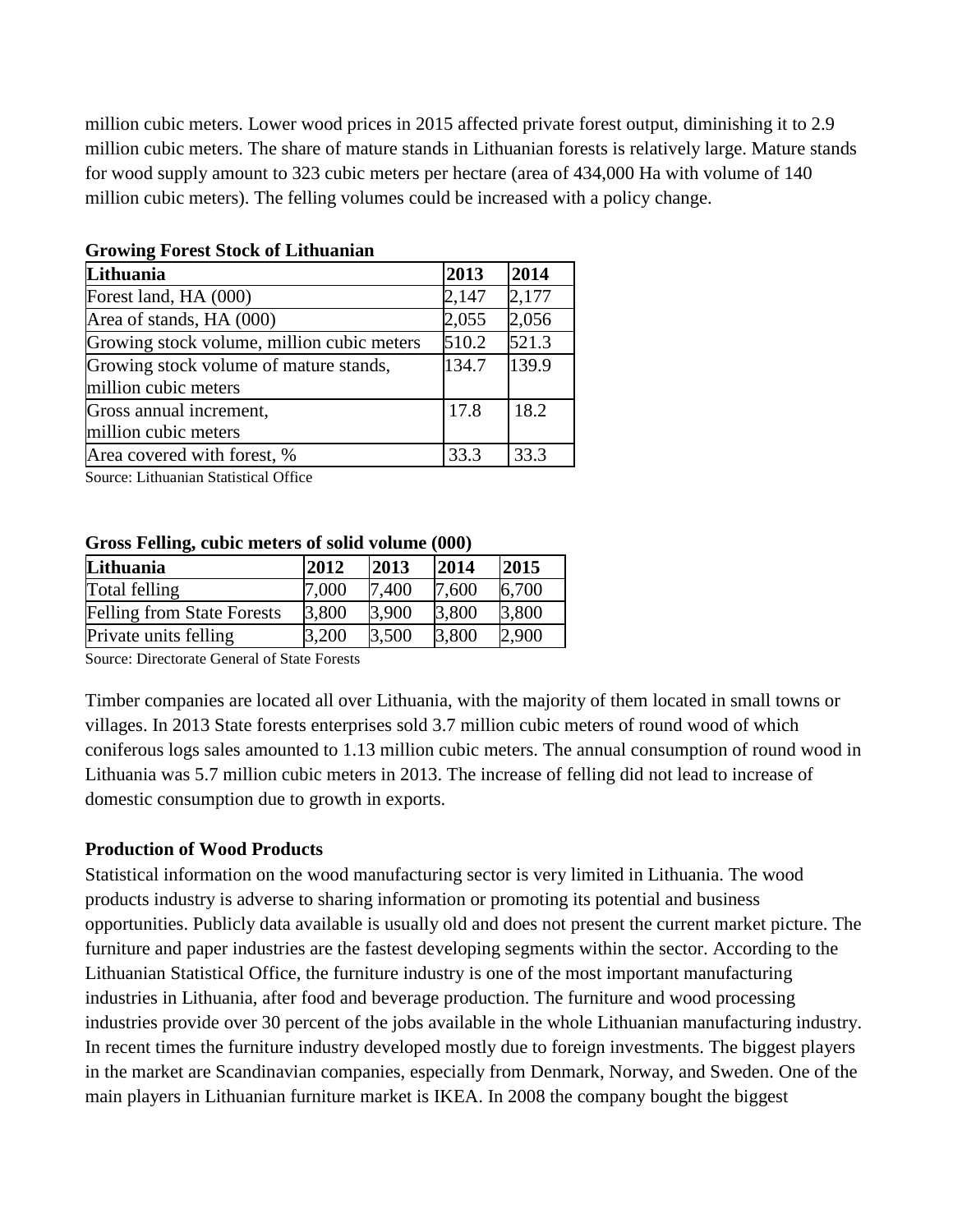million cubic meters. Lower wood prices in 2015 affected private forest output, diminishing it to 2.9 million cubic meters. The share of mature stands in Lithuanian forests is relatively large. Mature stands for wood supply amount to 323 cubic meters per hectare (area of 434,000 Ha with volume of 140 million cubic meters). The felling volumes could be increased with a policy change.

| Lithuania                                  | 2013  | 2014  |
|--------------------------------------------|-------|-------|
| Forest land, HA (000)                      | 2,147 | 2,177 |
| Area of stands, HA (000)                   | 2,055 | 2,056 |
| Growing stock volume, million cubic meters | 510.2 | 521.3 |
| Growing stock volume of mature stands,     | 134.7 | 139.9 |
| million cubic meters                       |       |       |
| Gross annual increment,                    | 17.8  | 18.2  |
| million cubic meters                       |       |       |
| Area covered with forest, %                | 33.3  | 33.3  |

# **Growing Forest Stock of Lithuanian**

Source: Lithuanian Statistical Office

#### **Gross Felling, cubic meters of solid volume (000)**

| Lithuania                         | 2012  | 2013  | 2014  | 2015  |
|-----------------------------------|-------|-------|-------|-------|
| Total felling                     | 7.000 | 7,400 | 7,600 | 6,700 |
| <b>Felling from State Forests</b> | 3,800 | 3,900 | 3,800 | 3,800 |
| Private units felling             | 3,200 | 3,500 | 3,800 | 2,900 |

Source: Directorate General of State Forests

Timber companies are located all over Lithuania, with the majority of them located in small towns or villages. In 2013 State forests enterprises sold 3.7 million cubic meters of round wood of which coniferous logs sales amounted to 1.13 million cubic meters. The annual consumption of round wood in Lithuania was 5.7 million cubic meters in 2013. The increase of felling did not lead to increase of domestic consumption due to growth in exports.

#### **Production of Wood Products**

Statistical information on the wood manufacturing sector is very limited in Lithuania. The wood products industry is adverse to sharing information or promoting its potential and business opportunities. Publicly data available is usually old and does not present the current market picture. The furniture and paper industries are the fastest developing segments within the sector. According to the Lithuanian Statistical Office, the furniture industry is one of the most important manufacturing industries in Lithuania, after food and beverage production. The furniture and wood processing industries provide over 30 percent of the jobs available in the whole Lithuanian manufacturing industry. In recent times the furniture industry developed mostly due to foreign investments. The biggest players in the market are Scandinavian companies, especially from Denmark, Norway, and Sweden. One of the main players in Lithuanian furniture market is IKEA. In 2008 the company bought the biggest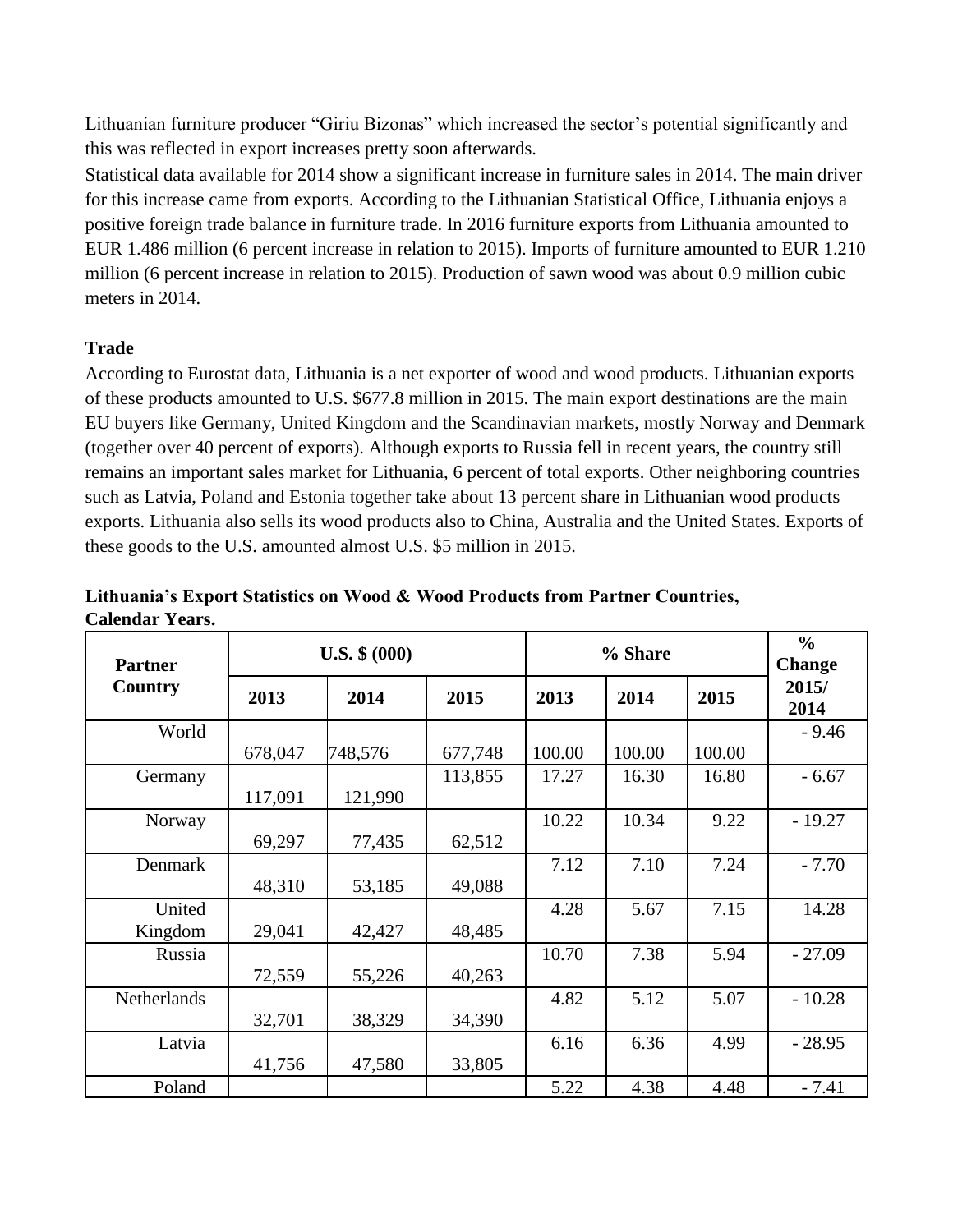Lithuanian furniture producer "Giriu Bizonas" which increased the sector's potential significantly and this was reflected in export increases pretty soon afterwards.

Statistical data available for 2014 show a significant increase in furniture sales in 2014. The main driver for this increase came from exports. According to the Lithuanian Statistical Office, Lithuania enjoys a positive foreign trade balance in furniture trade. In 2016 furniture exports from Lithuania amounted to EUR 1.486 million (6 percent increase in relation to 2015). Imports of furniture amounted to EUR 1.210 million (6 percent increase in relation to 2015). Production of sawn wood was about 0.9 million cubic meters in 2014.

## **Trade**

According to Eurostat data, Lithuania is a net exporter of wood and wood products. Lithuanian exports of these products amounted to U.S. \$677.8 million in 2015. The main export destinations are the main EU buyers like Germany, United Kingdom and the Scandinavian markets, mostly Norway and Denmark (together over 40 percent of exports). Although exports to Russia fell in recent years, the country still remains an important sales market for Lithuania, 6 percent of total exports. Other neighboring countries such as Latvia, Poland and Estonia together take about 13 percent share in Lithuanian wood products exports. Lithuania also sells its wood products also to China, Australia and the United States. Exports of these goods to the U.S. amounted almost U.S. \$5 million in 2015.

| <b>Partner</b> |         | $U.S.$ \$ $(000)$ |         |        | % Share |        | $\frac{6}{6}$<br><b>Change</b> |
|----------------|---------|-------------------|---------|--------|---------|--------|--------------------------------|
| Country        | 2013    | 2014              | 2015    | 2013   | 2014    | 2015   | 2015/<br>2014                  |
| World          |         |                   |         |        |         |        | $-9.46$                        |
|                | 678,047 | 748,576           | 677,748 | 100.00 | 100.00  | 100.00 |                                |
| Germany        |         |                   | 113,855 | 17.27  | 16.30   | 16.80  | $-6.67$                        |
|                | 117,091 | 121,990           |         |        |         |        |                                |
| Norway         |         |                   |         | 10.22  | 10.34   | 9.22   | $-19.27$                       |
|                | 69,297  | 77,435            | 62,512  |        |         |        |                                |
| Denmark        |         |                   |         | 7.12   | 7.10    | 7.24   | $-7.70$                        |
|                | 48,310  | 53,185            | 49,088  |        |         |        |                                |
| United         |         |                   |         | 4.28   | 5.67    | 7.15   | 14.28                          |
| Kingdom        | 29,041  | 42,427            | 48,485  |        |         |        |                                |
| Russia         |         |                   |         | 10.70  | 7.38    | 5.94   | $-27.09$                       |
|                | 72,559  | 55,226            | 40,263  |        |         |        |                                |
| Netherlands    |         |                   |         | 4.82   | 5.12    | 5.07   | $-10.28$                       |
|                | 32,701  | 38,329            | 34,390  |        |         |        |                                |
| Latvia         |         |                   |         | 6.16   | 6.36    | 4.99   | $-28.95$                       |
|                | 41,756  | 47,580            | 33,805  |        |         |        |                                |
| Poland         |         |                   |         | 5.22   | 4.38    | 4.48   | $-7.41$                        |

**Lithuania's Export Statistics on Wood & Wood Products from Partner Countries, Calendar Years.**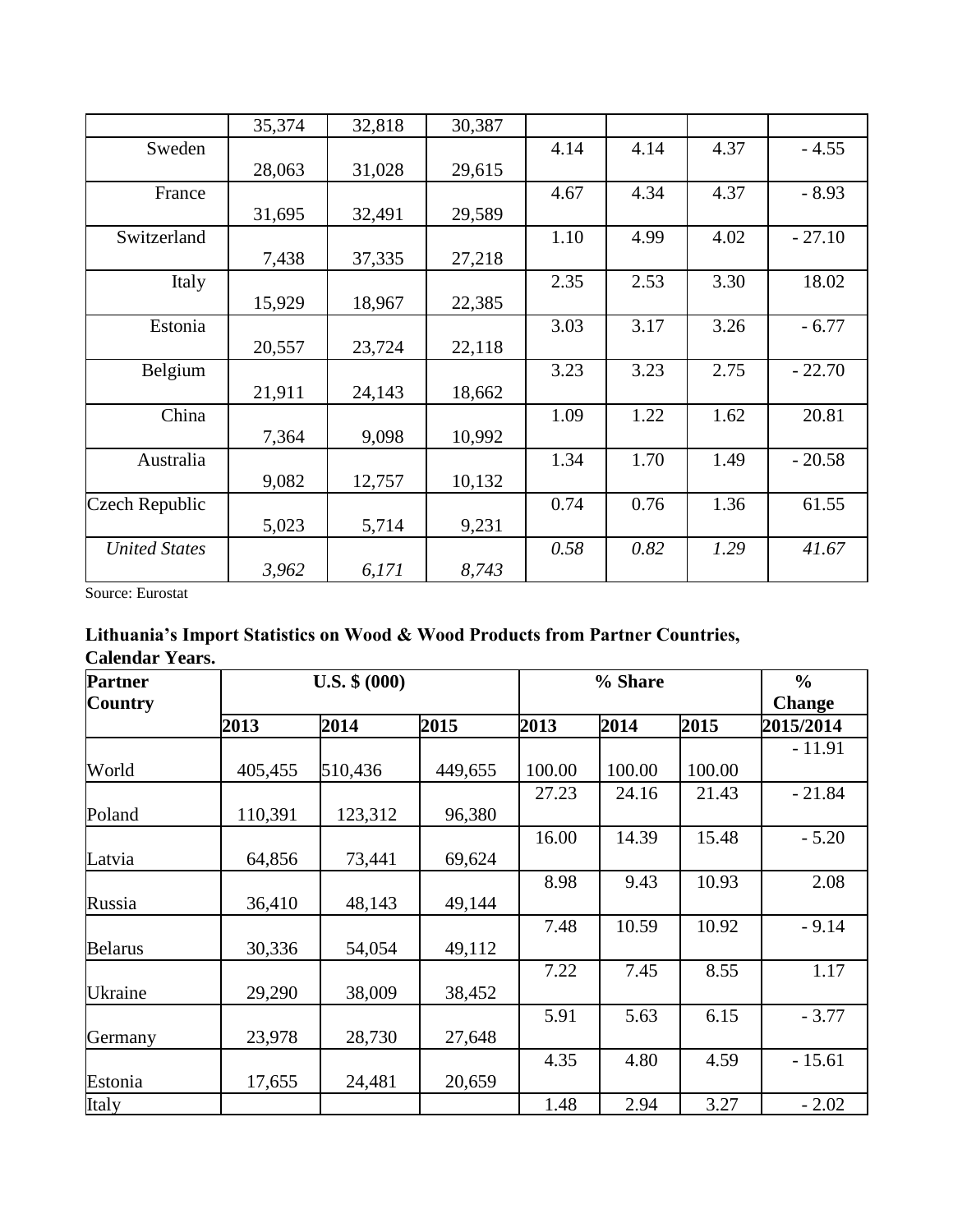|                       | 35,374 | 32,818 | 30,387 |      |      |      |          |
|-----------------------|--------|--------|--------|------|------|------|----------|
| Sweden                |        |        |        | 4.14 | 4.14 | 4.37 | $-4.55$  |
|                       | 28,063 | 31,028 | 29,615 |      |      |      |          |
| France                |        |        |        | 4.67 | 4.34 | 4.37 | $-8.93$  |
|                       | 31,695 | 32,491 | 29,589 |      |      |      |          |
| Switzerland           |        |        |        | 1.10 | 4.99 | 4.02 | $-27.10$ |
|                       | 7,438  | 37,335 | 27,218 |      |      |      |          |
| Italy                 |        |        |        | 2.35 | 2.53 | 3.30 | 18.02    |
|                       | 15,929 | 18,967 | 22,385 |      |      |      |          |
| Estonia               |        |        |        | 3.03 | 3.17 | 3.26 | $-6.77$  |
|                       | 20,557 | 23,724 | 22,118 |      |      |      |          |
| Belgium               |        |        |        | 3.23 | 3.23 | 2.75 | $-22.70$ |
|                       | 21,911 | 24,143 | 18,662 |      |      |      |          |
| China                 |        |        |        | 1.09 | 1.22 | 1.62 | 20.81    |
|                       | 7,364  | 9,098  | 10,992 |      |      |      |          |
| Australia             |        |        |        | 1.34 | 1.70 | 1.49 | $-20.58$ |
|                       | 9,082  | 12,757 | 10,132 |      |      |      |          |
| <b>Czech Republic</b> |        |        |        | 0.74 | 0.76 | 1.36 | 61.55    |
|                       | 5,023  | 5,714  | 9,231  |      |      |      |          |
| <b>United States</b>  |        |        |        | 0.58 | 0.82 | 1.29 | 41.67    |
|                       | 3,962  | 6,171  | 8,743  |      |      |      |          |

## **Lithuania's Import Statistics on Wood & Wood Products from Partner Countries, Calendar Years.**

| <b>Partner</b> |         | $U.S.$ \$ $(000)$ |         |        | % Share |        | $\frac{6}{6}$ |
|----------------|---------|-------------------|---------|--------|---------|--------|---------------|
| <b>Country</b> |         |                   |         |        |         |        | <b>Change</b> |
|                | 2013    | 2014              | 2015    | 2013   | 2014    | 2015   | 2015/2014     |
|                |         |                   |         |        |         |        | $-11.91$      |
| World          | 405,455 | 510,436           | 449,655 | 100.00 | 100.00  | 100.00 |               |
|                |         |                   |         | 27.23  | 24.16   | 21.43  | $-21.84$      |
| Poland         | 110,391 | 123,312           | 96,380  |        |         |        |               |
|                |         |                   |         | 16.00  | 14.39   | 15.48  | $-5.20$       |
| Latvia         | 64,856  | 73,441            | 69,624  |        |         |        |               |
|                |         |                   |         | 8.98   | 9.43    | 10.93  | 2.08          |
| Russia         | 36,410  | 48,143            | 49,144  |        |         |        |               |
|                |         |                   |         | 7.48   | 10.59   | 10.92  | $-9.14$       |
| <b>Belarus</b> | 30,336  | 54,054            | 49,112  |        |         |        |               |
|                |         |                   |         | 7.22   | 7.45    | 8.55   | 1.17          |
| <b>Ukraine</b> | 29,290  | 38,009            | 38,452  |        |         |        |               |
|                |         |                   |         | 5.91   | 5.63    | 6.15   | $-3.77$       |
| Germany        | 23,978  | 28,730            | 27,648  |        |         |        |               |
|                |         |                   |         | 4.35   | 4.80    | 4.59   | $-15.61$      |
| Estonia        | 17,655  | 24,481            | 20,659  |        |         |        |               |
| Italy          |         |                   |         | 1.48   | 2.94    | 3.27   | $-2.02$       |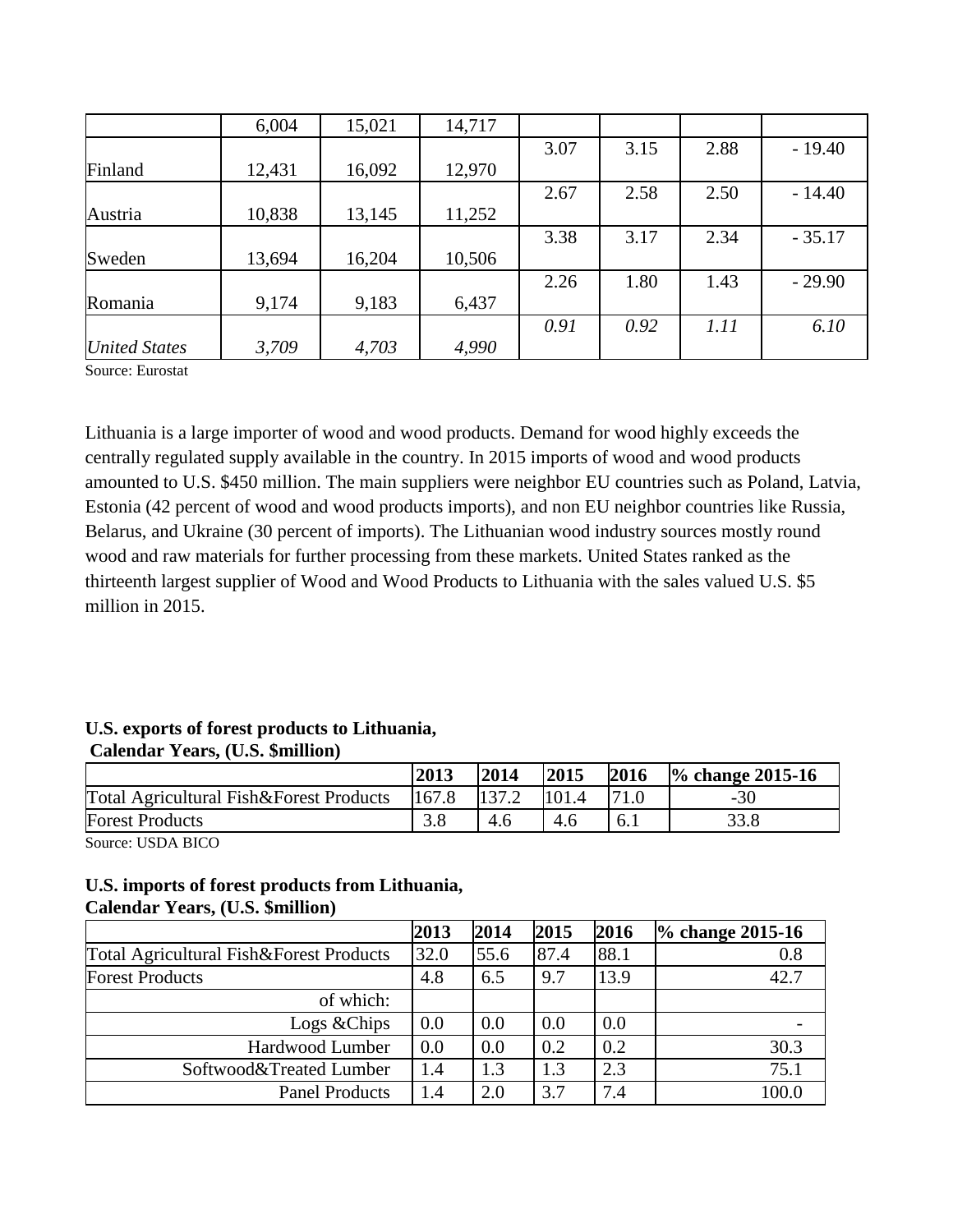|                      | 6,004  | 15,021 | 14,717 |      |      |      |          |
|----------------------|--------|--------|--------|------|------|------|----------|
|                      |        |        |        | 3.07 | 3.15 | 2.88 | $-19.40$ |
| Finland              | 12,431 | 16,092 | 12,970 |      |      |      |          |
|                      |        |        |        | 2.67 | 2.58 | 2.50 | $-14.40$ |
| Austria              | 10,838 | 13,145 | 11,252 |      |      |      |          |
|                      |        |        |        | 3.38 | 3.17 | 2.34 | $-35.17$ |
| Sweden               | 13,694 | 16,204 | 10,506 |      |      |      |          |
|                      |        |        |        | 2.26 | 1.80 | 1.43 | $-29.90$ |
| Romania              | 9,174  | 9,183  | 6,437  |      |      |      |          |
|                      |        |        |        | 0.91 | 0.92 | 1.11 | 6.10     |
| <b>United States</b> | 3,709  | 4,703  | 4,990  |      |      |      |          |

Lithuania is a large importer of wood and wood products. Demand for wood highly exceeds the centrally regulated supply available in the country. In 2015 imports of wood and wood products amounted to U.S. \$450 million. The main suppliers were neighbor EU countries such as Poland, Latvia, Estonia (42 percent of wood and wood products imports), and non EU neighbor countries like Russia, Belarus, and Ukraine (30 percent of imports). The Lithuanian wood industry sources mostly round wood and raw materials for further processing from these markets. United States ranked as the thirteenth largest supplier of Wood and Wood Products to Lithuania with the sales valued U.S. \$5 million in 2015.

# **U.S. exports of forest products to Lithuania, Calendar Years, (U.S. \$million)**

|                                         | 2013  | 2014  | 2015 | 2016 | $\%$ change 2015-16 |
|-----------------------------------------|-------|-------|------|------|---------------------|
| Total Agricultural Fish&Forest Products | 167.8 | 137.2 |      |      | $-30$               |
| <b>Forest Products</b>                  |       | 4.6   | 4.6  |      | 33.8                |
| __<br>---- -- --                        |       |       |      |      |                     |

Source: USDA BICO

# **U.S. imports of forest products from Lithuania, Calendar Years, (U.S. \$million)**

|                                         | 2013       | 2014 | 2015 | 2016 | $\%$ change 2015-16 |
|-----------------------------------------|------------|------|------|------|---------------------|
| Total Agricultural Fish&Forest Products | 32.0       | 55.6 | 87.4 | 88.1 | 0.8                 |
| <b>Forest Products</b>                  | 4.8        | 6.5  | 9.7  | 13.9 | 42.7                |
| of which:                               |            |      |      |      |                     |
| Logs & Chips                            | 0.0        | 0.0  | 0.0  | 0.0  |                     |
| Hardwood Lumber                         | 0.0        | 0.0  | 0.2  | 0.2  | 30.3                |
| Softwood&Treated Lumber                 | 1.4        | 1.3  | 1.3  | 2.3  | 75.1                |
| <b>Panel Products</b>                   | $\cdot$ .4 | 2.0  | 3.7  | 7.4  | 100.0               |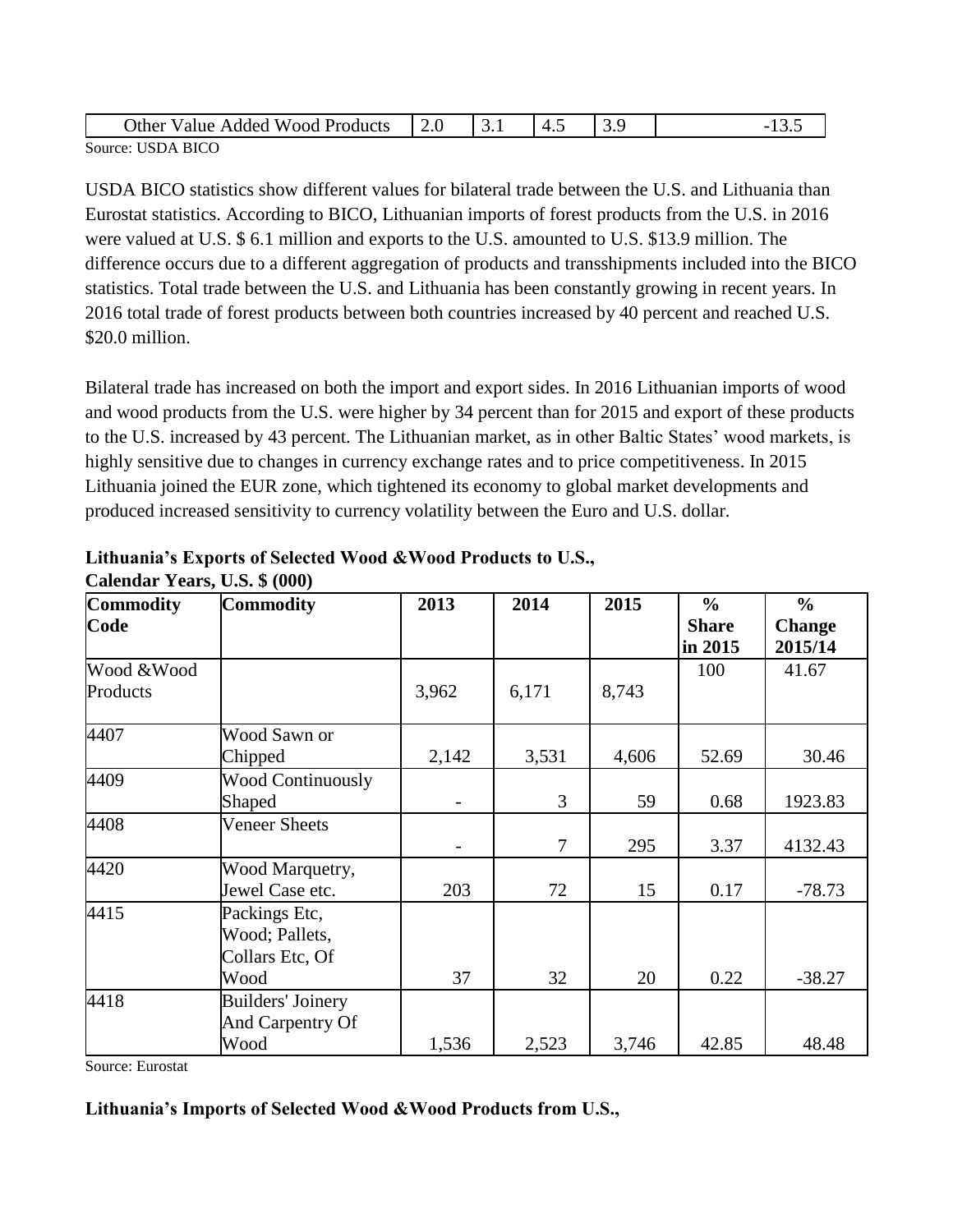| Other<br>$Wood_{\perp}$<br>Products<br>Value<br>Added | -<br>∠.∪ | ◡• | -<br>. | ر،ب |  |
|-------------------------------------------------------|----------|----|--------|-----|--|
| <b>USDA BICO</b><br>Source:                           |          |    |        |     |  |

USDA BICO statistics show different values for bilateral trade between the U.S. and Lithuania than Eurostat statistics. According to BICO, Lithuanian imports of forest products from the U.S. in 2016 were valued at U.S. \$ 6.1 million and exports to the U.S. amounted to U.S. \$13.9 million. The difference occurs due to a different aggregation of products and transshipments included into the BICO statistics. Total trade between the U.S. and Lithuania has been constantly growing in recent years. In 2016 total trade of forest products between both countries increased by 40 percent and reached U.S. \$20.0 million.

Bilateral trade has increased on both the import and export sides. In 2016 Lithuanian imports of wood and wood products from the U.S. were higher by 34 percent than for 2015 and export of these products to the U.S. increased by 43 percent. The Lithuanian market, as in other Baltic States' wood markets, is highly sensitive due to changes in currency exchange rates and to price competitiveness. In 2015 Lithuania joined the EUR zone, which tightened its economy to global market developments and produced increased sensitivity to currency volatility between the Euro and U.S. dollar.

| Commodity              | <b>Commodity</b>                                           | 2013  | 2014           | 2015  | $\frac{6}{6}$           | $\frac{6}{6}$            |
|------------------------|------------------------------------------------------------|-------|----------------|-------|-------------------------|--------------------------|
| Code                   |                                                            |       |                |       | <b>Share</b><br>in 2015 | <b>Change</b><br>2015/14 |
| Wood &Wood<br>Products |                                                            | 3,962 | 6,171          | 8,743 | 100                     | 41.67                    |
| 4407                   | Wood Sawn or<br>Chipped                                    | 2,142 | 3,531          | 4,606 | 52.69                   | 30.46                    |
| 4409                   | <b>Wood Continuously</b><br>Shaped                         |       | 3              | 59    | 0.68                    | 1923.83                  |
| 4408                   | <b>Veneer Sheets</b>                                       |       | $\overline{7}$ | 295   | 3.37                    | 4132.43                  |
| 4420                   | Wood Marquetry,<br>Jewel Case etc.                         | 203   | 72             | 15    | 0.17                    | $-78.73$                 |
| 4415                   | Packings Etc,<br>Wood; Pallets,<br>Collars Etc, Of<br>Wood | 37    | 32             | 20    | 0.22                    | $-38.27$                 |
| 4418                   | <b>Builders' Joinery</b><br>And Carpentry Of<br>Wood       | 1,536 | 2,523          | 3,746 | 42.85                   | 48.48                    |

| Lithuania's Exports of Selected Wood & Wood Products to U.S., |  |  |
|---------------------------------------------------------------|--|--|
| Calendar Years, U.S. \$ (000)                                 |  |  |

Source: Eurostat

## **Lithuania's Imports of Selected Wood &Wood Products from U.S.,**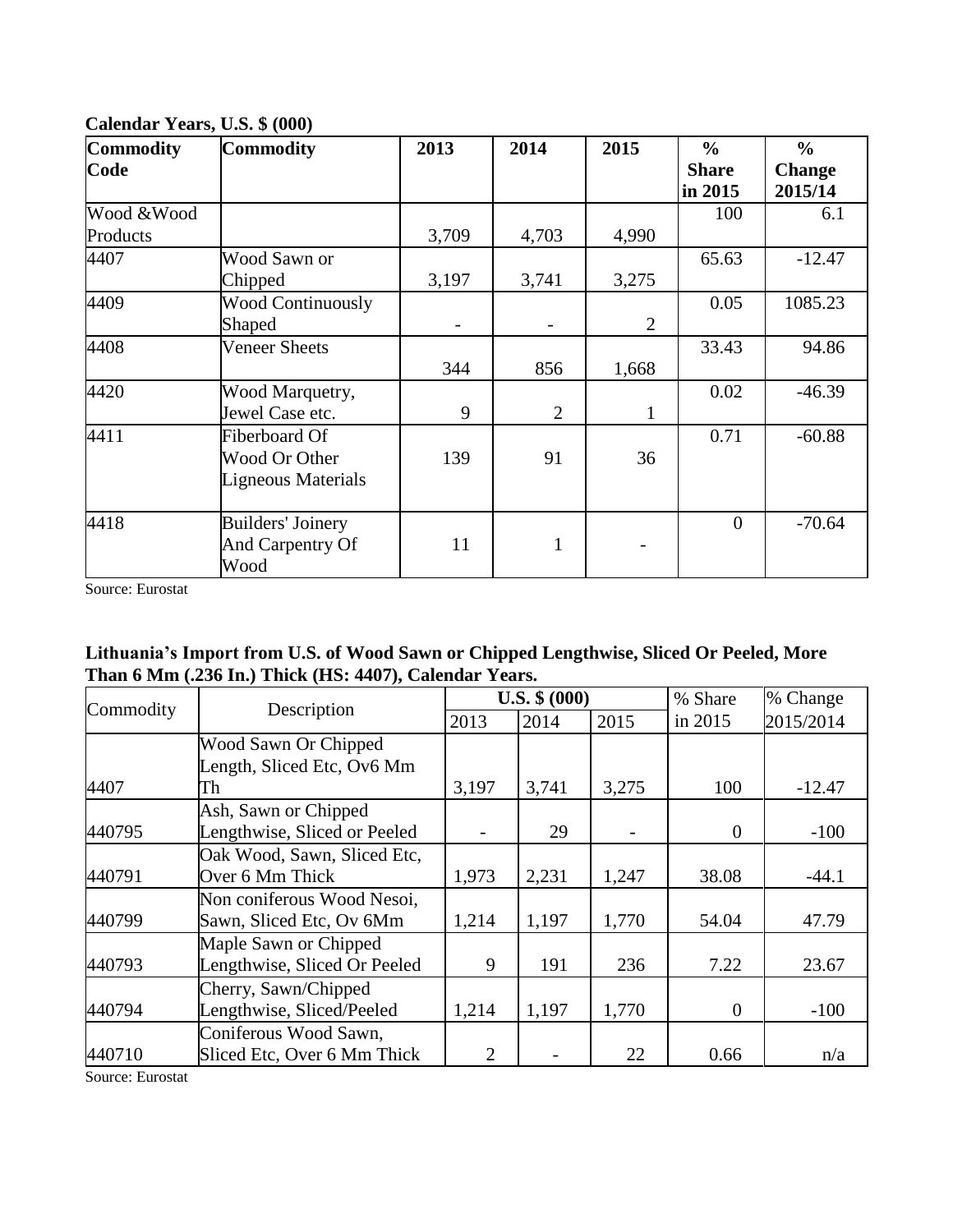| <b>Commodity</b> | <b>Commodity</b>         | 2013  | 2014           | 2015           | $\frac{6}{6}$  | $\frac{6}{6}$ |
|------------------|--------------------------|-------|----------------|----------------|----------------|---------------|
| Code             |                          |       |                |                | <b>Share</b>   | <b>Change</b> |
|                  |                          |       |                |                | in 2015        | 2015/14       |
| Wood & Wood      |                          |       |                |                | 100            | 6.1           |
| Products         |                          | 3,709 | 4,703          | 4,990          |                |               |
| 4407             | Wood Sawn or             |       |                |                | 65.63          | $-12.47$      |
|                  | Chipped                  | 3,197 | 3,741          | 3,275          |                |               |
| 4409             | <b>Wood Continuously</b> |       |                |                | 0.05           | 1085.23       |
|                  | Shaped                   |       |                | $\overline{2}$ |                |               |
| 4408             | <b>Veneer Sheets</b>     |       |                |                | 33.43          | 94.86         |
|                  |                          | 344   | 856            | 1,668          |                |               |
| 4420             | Wood Marquetry,          |       |                |                | 0.02           | $-46.39$      |
|                  | Jewel Case etc.          | 9     | $\overline{2}$ | $\mathbf{1}$   |                |               |
| 4411             | Fiberboard Of            |       |                |                | 0.71           | $-60.88$      |
|                  | Wood Or Other            | 139   | 91             | 36             |                |               |
|                  | Ligneous Materials       |       |                |                |                |               |
|                  |                          |       |                |                |                |               |
| 4418             | <b>Builders' Joinery</b> |       |                |                | $\overline{0}$ | $-70.64$      |
|                  | And Carpentry Of         | 11    | $\mathbf{1}$   |                |                |               |
|                  | Wood                     |       |                |                |                |               |

**Calendar Years, U.S. \$ (000)**

# **Lithuania's Import from U.S. of Wood Sawn or Chipped Lengthwise, Sliced Or Peeled, More Than 6 Mm (.236 In.) Thick (HS: 4407), Calendar Years.**

| Commodity | Description                  |       | $U.S.$ \$ $(000)$ |       | % Share  | % Change  |
|-----------|------------------------------|-------|-------------------|-------|----------|-----------|
|           |                              | 2013  | 2014              | 2015  | in 2015  | 2015/2014 |
|           | Wood Sawn Or Chipped         |       |                   |       |          |           |
|           | Length, Sliced Etc, Ov6 Mm   |       |                   |       |          |           |
| 4407      | Тh                           | 3,197 | 3,741             | 3,275 | 100      | $-12.47$  |
|           | Ash, Sawn or Chipped         |       |                   |       |          |           |
| 440795    | Lengthwise, Sliced or Peeled |       | 29                |       | $\theta$ | $-100$    |
|           | Oak Wood, Sawn, Sliced Etc,  |       |                   |       |          |           |
| 440791    | Over 6 Mm Thick              | 1,973 | 2,231             | 1,247 | 38.08    | $-44.1$   |
|           | Non coniferous Wood Nesoi,   |       |                   |       |          |           |
| 440799    | Sawn, Sliced Etc, Ov 6Mm     | 1,214 | 1,197             | 1,770 | 54.04    | 47.79     |
|           | Maple Sawn or Chipped        |       |                   |       |          |           |
| 440793    | Lengthwise, Sliced Or Peeled | 9     | 191               | 236   | 7.22     | 23.67     |
|           | Cherry, Sawn/Chipped         |       |                   |       |          |           |
| 440794    | Lengthwise, Sliced/Peeled    | 1,214 | 1,197             | 1,770 | $\theta$ | $-100$    |
|           | Coniferous Wood Sawn,        |       |                   |       |          |           |
| 440710    | Sliced Etc, Over 6 Mm Thick  | 2     |                   | 22    | 0.66     | n/a       |

Source: Eurostat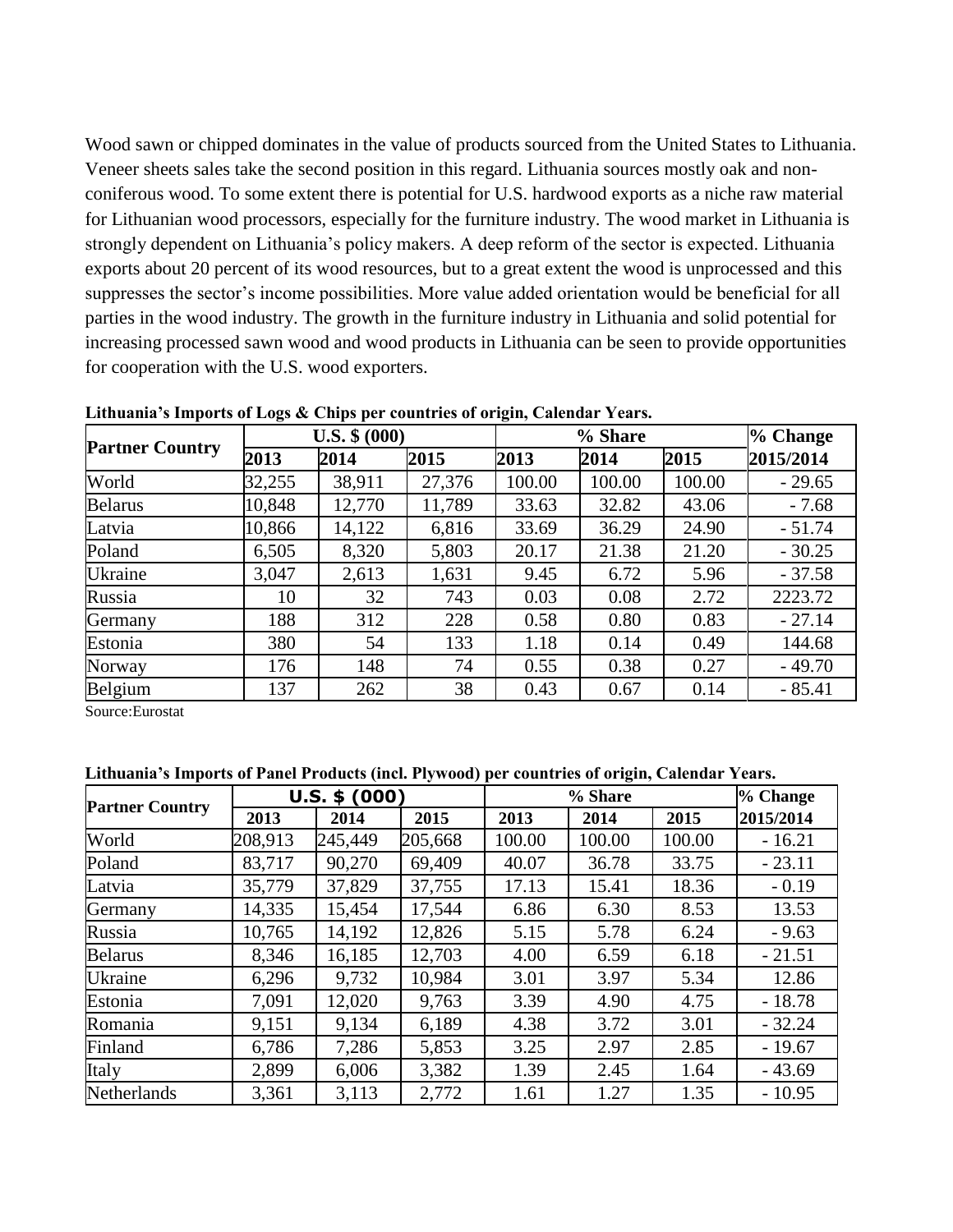Wood sawn or chipped dominates in the value of products sourced from the United States to Lithuania. Veneer sheets sales take the second position in this regard. Lithuania sources mostly oak and nonconiferous wood. To some extent there is potential for U.S. hardwood exports as a niche raw material for Lithuanian wood processors, especially for the furniture industry. The wood market in Lithuania is strongly dependent on Lithuania's policy makers. A deep reform of the sector is expected. Lithuania exports about 20 percent of its wood resources, but to a great extent the wood is unprocessed and this suppresses the sector's income possibilities. More value added orientation would be beneficial for all parties in the wood industry. The growth in the furniture industry in Lithuania and solid potential for increasing processed sawn wood and wood products in Lithuania can be seen to provide opportunities for cooperation with the U.S. wood exporters.

|                        |        | $U.S.$ \$ $(000)$ |        | % Share | % Change |        |           |
|------------------------|--------|-------------------|--------|---------|----------|--------|-----------|
| <b>Partner Country</b> | 2013   | 2014              | 2015   | 2013    | 2014     | 2015   | 2015/2014 |
| World                  | 32,255 | 38,911            | 27,376 | 100.00  | 100.00   | 100.00 | $-29.65$  |
| <b>Belarus</b>         | 10,848 | 12,770            | 11,789 | 33.63   | 32.82    | 43.06  | $-7.68$   |
| Latvia                 | 10,866 | 14,122            | 6,816  | 33.69   | 36.29    | 24.90  | $-51.74$  |
| Poland                 | 6,505  | 8,320             | 5,803  | 20.17   | 21.38    | 21.20  | $-30.25$  |
| Ukraine                | 3,047  | 2,613             | 1,631  | 9.45    | 6.72     | 5.96   | $-37.58$  |
| Russia                 | 10     | 32                | 743    | 0.03    | 0.08     | 2.72   | 2223.72   |
| Germany                | 188    | 312               | 228    | 0.58    | 0.80     | 0.83   | $-27.14$  |
| Estonia                | 380    | 54                | 133    | 1.18    | 0.14     | 0.49   | 144.68    |
| Norway                 | 176    | 148               | 74     | 0.55    | 0.38     | 0.27   | $-49.70$  |
| Belgium                | 137    | 262               | 38     | 0.43    | 0.67     | 0.14   | $-85.41$  |

**Lithuania's Imports of Logs & Chips per countries of origin, Calendar Years.**

Source:Eurostat

**Lithuania's Imports of Panel Products (incl. Plywood) per countries of origin, Calendar Years.** 

|                        |         | $U.S.$ \$ $(000)$ |         | % Share | % Change |        |           |
|------------------------|---------|-------------------|---------|---------|----------|--------|-----------|
| <b>Partner Country</b> | 2013    | 2014              | 2015    | 2013    | 2014     | 2015   | 2015/2014 |
| World                  | 208,913 | 245,449           | 205,668 | 100.00  | 100.00   | 100.00 | $-16.21$  |
| Poland                 | 83,717  | 90,270            | 69,409  | 40.07   | 36.78    | 33.75  | $-23.11$  |
| Latvia                 | 35,779  | 37,829            | 37,755  | 17.13   | 15.41    | 18.36  | $-0.19$   |
| Germany                | 14,335  | 15,454            | 17,544  | 6.86    | 6.30     | 8.53   | 13.53     |
| Russia                 | 10,765  | 14,192            | 12,826  | 5.15    | 5.78     | 6.24   | $-9.63$   |
| <b>Belarus</b>         | 8,346   | 16,185            | 12,703  | 4.00    | 6.59     | 6.18   | $-21.51$  |
| <b>Ukraine</b>         | 6,296   | 9,732             | 10,984  | 3.01    | 3.97     | 5.34   | 12.86     |
| Estonia                | 7,091   | 12,020            | 9,763   | 3.39    | 4.90     | 4.75   | $-18.78$  |
| Romania                | 9,151   | 9,134             | 6,189   | 4.38    | 3.72     | 3.01   | $-32.24$  |
| Finland                | 6,786   | 7,286             | 5,853   | 3.25    | 2.97     | 2.85   | $-19.67$  |
| Italy                  | 2,899   | 6,006             | 3,382   | 1.39    | 2.45     | 1.64   | $-43.69$  |
| Netherlands            | 3,361   | 3,113             | 2,772   | 1.61    | 1.27     | 1.35   | $-10.95$  |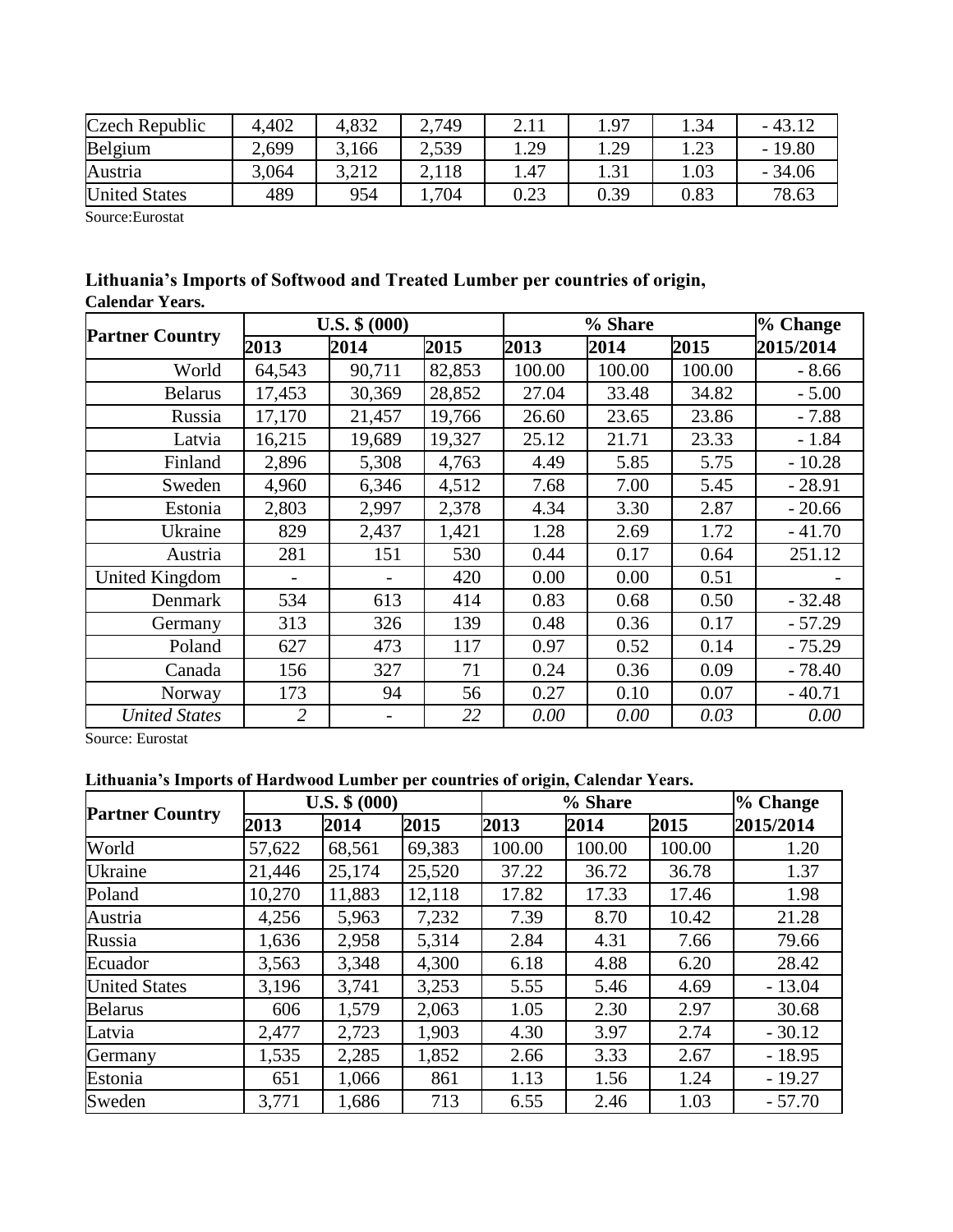| Czech Republic       | 4,402 | 4,832 | 2,749 | 4.11 | 1.97 | .34  | $-43.12$ |
|----------------------|-------|-------|-------|------|------|------|----------|
| Belgium              | 2,699 | 3,166 | 2,539 | 1.29 | .29  | 1.23 | $-19.80$ |
| Austria              | 3,064 | 3.212 | 2.118 | . 47 |      | 1.03 | $-34.06$ |
| <b>United States</b> | 489   | 954   | 704   | 0.23 | 0.39 | 0.83 | 78.63    |

| Lithuania's Imports of Softwood and Treated Lumber per countries of origin, |  |  |
|-----------------------------------------------------------------------------|--|--|
| <b>Calendar Years.</b>                                                      |  |  |

|                        |                | $U.S.$ \$ $(000)$ |        |        | % Change |        |           |
|------------------------|----------------|-------------------|--------|--------|----------|--------|-----------|
| <b>Partner Country</b> | 2013           | 2014              | 2015   | 2013   | 2014     | 2015   | 2015/2014 |
| World                  | 64,543         | 90,711            | 82,853 | 100.00 | 100.00   | 100.00 | $-8.66$   |
| <b>Belarus</b>         | 17,453         | 30,369            | 28,852 | 27.04  | 33.48    | 34.82  | $-5.00$   |
| Russia                 | 17,170         | 21,457            | 19,766 | 26.60  | 23.65    | 23.86  | $-7.88$   |
| Latvia                 | 16,215         | 19,689            | 19,327 | 25.12  | 21.71    | 23.33  | $-1.84$   |
| Finland                | 2,896          | 5,308             | 4,763  | 4.49   | 5.85     | 5.75   | $-10.28$  |
| Sweden                 | 4,960          | 6,346             | 4,512  | 7.68   | 7.00     | 5.45   | $-28.91$  |
| Estonia                | 2,803          | 2,997             | 2,378  | 4.34   | 3.30     | 2.87   | $-20.66$  |
| Ukraine                | 829            | 2,437             | 1,421  | 1.28   | 2.69     | 1.72   | $-41.70$  |
| Austria                | 281            | 151               | 530    | 0.44   | 0.17     | 0.64   | 251.12    |
| United Kingdom         |                |                   | 420    | 0.00   | 0.00     | 0.51   |           |
| Denmark                | 534            | 613               | 414    | 0.83   | 0.68     | 0.50   | $-32.48$  |
| Germany                | 313            | 326               | 139    | 0.48   | 0.36     | 0.17   | $-57.29$  |
| Poland                 | 627            | 473               | 117    | 0.97   | 0.52     | 0.14   | $-75.29$  |
| Canada                 | 156            | 327               | 71     | 0.24   | 0.36     | 0.09   | $-78.40$  |
| Norway                 | 173            | 94                | 56     | 0.27   | 0.10     | 0.07   | $-40.71$  |
| <b>United States</b>   | $\overline{2}$ |                   | 22     | 0.00   | 0.00     | 0.03   | 0.00      |

Source: Eurostat

# **Lithuania's Imports of Hardwood Lumber per countries of origin, Calendar Years.**

|                        | $U.S.$ \$ $(000)$ |        |        |        | % Change |        |           |
|------------------------|-------------------|--------|--------|--------|----------|--------|-----------|
| <b>Partner Country</b> | 2013              | 2014   | 2015   | 2013   | 2014     | 2015   | 2015/2014 |
| World                  | 57,622            | 68,561 | 69,383 | 100.00 | 100.00   | 100.00 | 1.20      |
| Ukraine                | 21,446            | 25,174 | 25,520 | 37.22  | 36.72    | 36.78  | 1.37      |
| Poland                 | 10,270            | 11,883 | 12,118 | 17.82  | 17.33    | 17.46  | 1.98      |
| Austria                | 4,256             | 5,963  | 7,232  | 7.39   | 8.70     | 10.42  | 21.28     |
| Russia                 | 1,636             | 2,958  | 5,314  | 2.84   | 4.31     | 7.66   | 79.66     |
| Ecuador                | 3,563             | 3,348  | 4,300  | 6.18   | 4.88     | 6.20   | 28.42     |
| <b>United States</b>   | 3,196             | 3,741  | 3,253  | 5.55   | 5.46     | 4.69   | $-13.04$  |
| <b>Belarus</b>         | 606               | 1,579  | 2,063  | 1.05   | 2.30     | 2.97   | 30.68     |
| Latvia                 | 2,477             | 2,723  | 1,903  | 4.30   | 3.97     | 2.74   | $-30.12$  |
| Germany                | 1,535             | 2,285  | 1,852  | 2.66   | 3.33     | 2.67   | $-18.95$  |
| Estonia                | 651               | 1,066  | 861    | 1.13   | 1.56     | 1.24   | $-19.27$  |
| Sweden                 | 3,771             | 1,686  | 713    | 6.55   | 2.46     | 1.03   | $-57.70$  |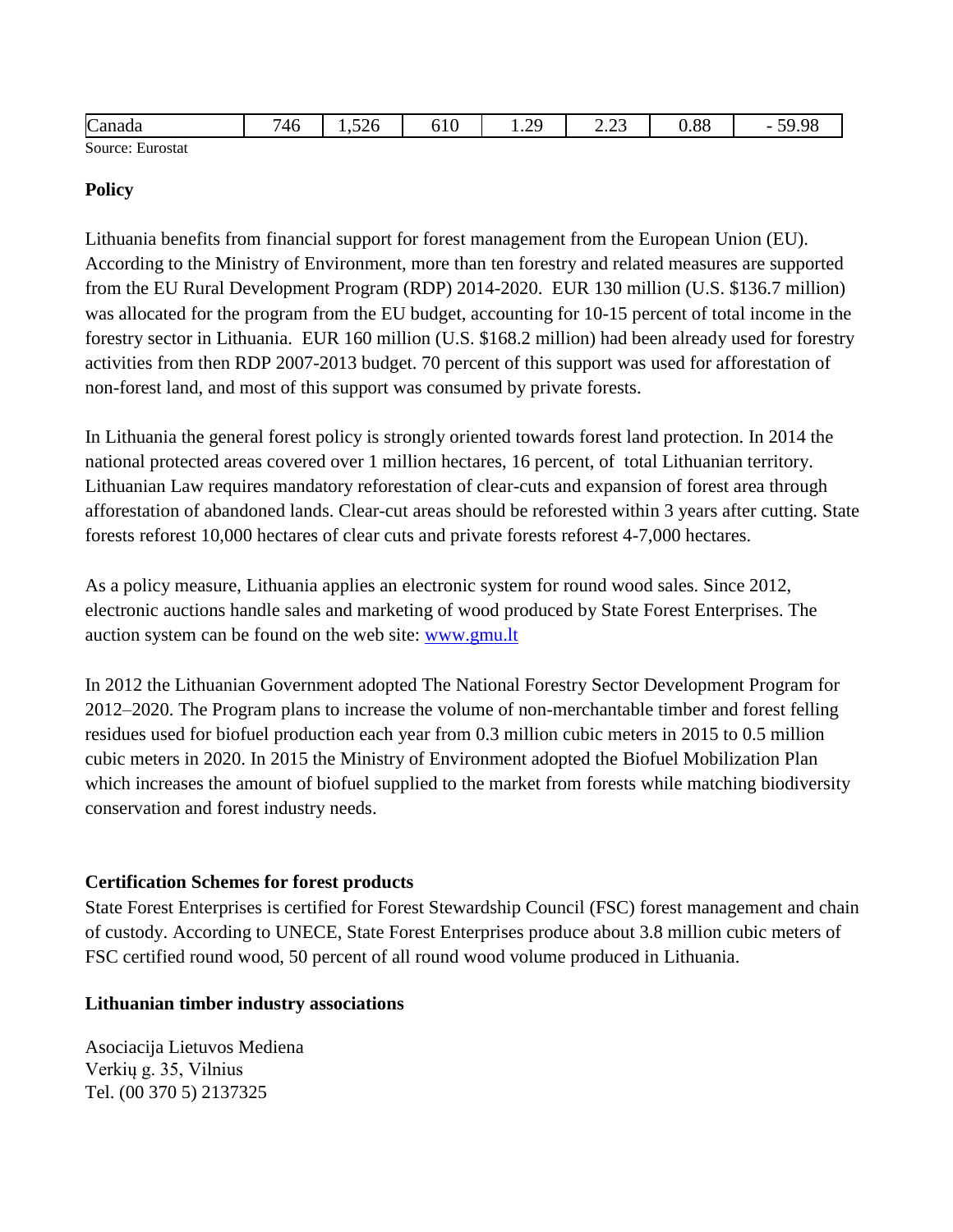| Canada           | .<br>'46 | $\sim$ $\sim$<br>,<br>$1.32 \cup$<br>__ | $-10$<br>010 | $\cap$<br>╰<br><b>1.</b> 2 | $\sim$ $\sim$<br>ن کے وک | 0.88 | $F \cap \cap C$<br>่าน<br>$\overline{\phantom{a}}$ |
|------------------|----------|-----------------------------------------|--------------|----------------------------|--------------------------|------|----------------------------------------------------|
| $\sim$<br>$\sim$ |          |                                         |              |                            |                          |      |                                                    |

### **Policy**

Lithuania benefits from financial support for forest management from the European Union (EU). According to the Ministry of Environment, more than ten forestry and related measures are supported from the EU Rural Development Program (RDP) 2014-2020. EUR 130 million (U.S. \$136.7 million) was allocated for the program from the EU budget, accounting for 10-15 percent of total income in the forestry sector in Lithuania. EUR 160 million (U.S. \$168.2 million) had been already used for forestry activities from then RDP 2007-2013 budget. 70 percent of this support was used for afforestation of non-forest land, and most of this support was consumed by private forests.

In Lithuania the general forest policy is strongly oriented towards forest land protection. In 2014 the national protected areas covered over 1 million hectares, 16 percent, of total Lithuanian territory. Lithuanian Law requires mandatory reforestation of clear-cuts and expansion of forest area through afforestation of abandoned lands. Clear-cut areas should be reforested within 3 years after cutting. State forests reforest 10,000 hectares of clear cuts and private forests reforest 4-7,000 hectares.

As a policy measure, Lithuania applies an electronic system for round wood sales. Since 2012, electronic auctions handle sales and marketing of wood produced by State Forest Enterprises. The auction system can be found on the web site: [www.gmu.lt](http://www.gmu.lt/)

In 2012 the Lithuanian Government adopted The National Forestry Sector Development Program for 2012–2020. The Program plans to increase the volume of non-merchantable timber and forest felling residues used for biofuel production each year from 0.3 million cubic meters in 2015 to 0.5 million cubic meters in 2020. In 2015 the Ministry of Environment adopted the Biofuel Mobilization Plan which increases the amount of biofuel supplied to the market from forests while matching biodiversity conservation and forest industry needs.

## **Certification Schemes for forest products**

State Forest Enterprises is certified for Forest Stewardship Council (FSC) forest management and chain of custody. According to UNECE, State Forest Enterprises produce about 3.8 million cubic meters of FSC certified round wood, 50 percent of all round wood volume produced in Lithuania.

#### **Lithuanian timber industry associations**

Asociacija Lietuvos Mediena Verkių g. 35, Vilnius Tel. (00 370 5) 2137325